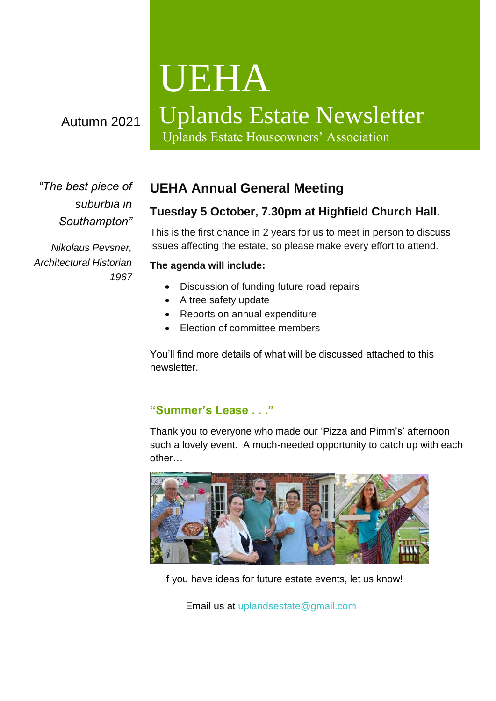# UEHA

# Uplands Estate Newsletter

Uplands Estate Houseowners' Association

*"The best piece of suburbia in Southampton"*

Autumn 2021

*Nikolaus Pevsner, Architectural Historian 1967*

## **UEHA Annual General Meeting**

### **Tuesday 5 October, 7.30pm at Highfield Church Hall.**

This is the first chance in 2 years for us to meet in person to discuss issues affecting the estate, so please make every effort to attend.

#### **The agenda will include:**

- Discussion of funding future road repairs
- A tree safety update
- Reports on annual expenditure
- Election of committee members

You'll find more details of what will be discussed attached to this newsletter.

#### **"Summer's Lease . . ."**

Thank you to everyone who made our 'Pizza and Pimm's' afternoon such a lovely event. A much-needed opportunity to catch up with each other…



If you have ideas for future estate events, let us know!

Email us at [uplandsestate@gmail.com](mailto:uplandsestate@gmail.com)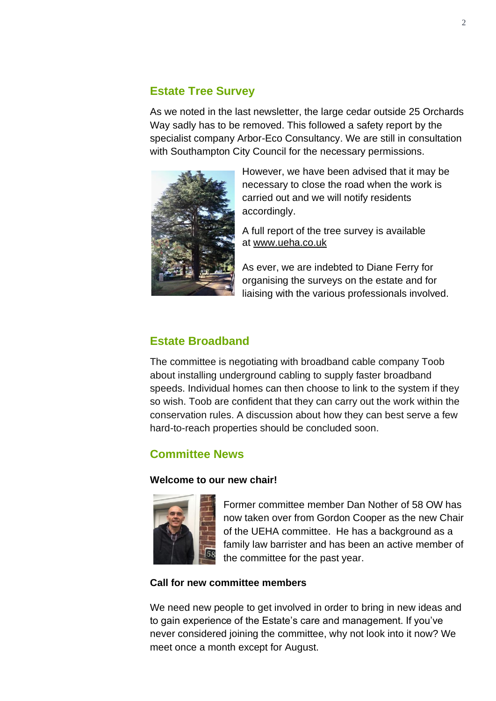#### **Estate Tree Survey**

As we noted in the last newsletter, the large cedar outside 25 Orchards Way sadly has to be removed. This followed a safety report by the specialist company Arbor-Eco Consultancy. We are still in consultation with Southampton City Council for the necessary permissions.



However, we have been advised that it may be necessary to close the road when the work is carried out and we will notify residents accordingly.

A full report of the tree survey is available at [www.ueha.co.uk](http://www.ueha.co.uk/)

As ever, we are indebted to Diane Ferry for organising the surveys on the estate and for liaising with the various professionals involved.

#### **Estate Broadband**

The committee is negotiating with broadband cable company Toob about installing underground cabling to supply faster broadband speeds. Individual homes can then choose to link to the system if they so wish. Toob are confident that they can carry out the work within the conservation rules. A discussion about how they can best serve a few hard-to-reach properties should be concluded soon.

#### **Committee News**

#### **Welcome to our new chair!**



Former committee member Dan Nother of 58 OW has now taken over from Gordon Cooper as the new Chair of the UEHA committee. He has a background as a family law barrister and has been an active member of the committee for the past year.

#### **Call for new committee members**

We need new people to get involved in order to bring in new ideas and to gain experience of the Estate's care and management. If you've never considered joining the committee, why not look into it now? We meet once a month except for August.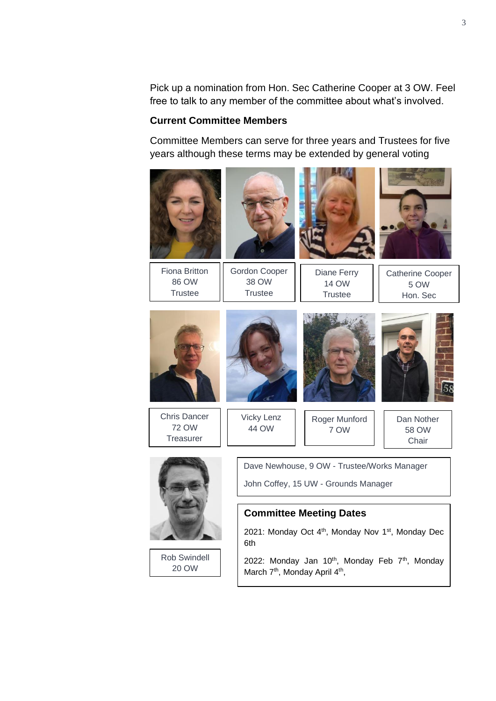Pick up a nomination from Hon. Sec Catherine Cooper at 3 OW. Feel free to talk to any member of the committee about what's involved.

#### **Current Committee Members**

20 OW

Committee Members can serve for three years and Trustees for five years although these terms may be extended by general voting



2022: Monday Jan 10<sup>th</sup>, Monday Feb 7<sup>th</sup>, Monday March 7<sup>th</sup>, Monday April 4<sup>th</sup>,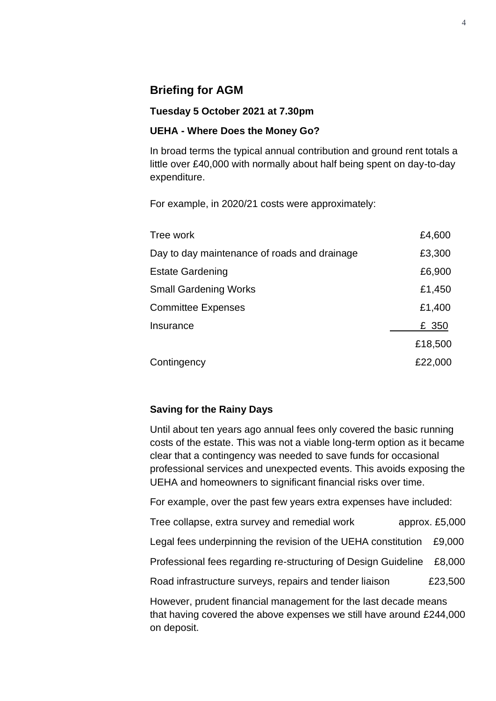#### **Briefing for AGM**

#### **Tuesday 5 October 2021 at 7.30pm**

#### **UEHA - Where Does the Money Go?**

In broad terms the typical annual contribution and ground rent totals a little over £40,000 with normally about half being spent on day-to-day expenditure.

For example, in 2020/21 costs were approximately:

| Tree work                                    | £4,600  |
|----------------------------------------------|---------|
| Day to day maintenance of roads and drainage | £3,300  |
| <b>Estate Gardening</b>                      | £6,900  |
| <b>Small Gardening Works</b>                 | £1,450  |
| <b>Committee Expenses</b>                    | £1,400  |
| Insurance                                    | £ 350   |
|                                              | £18,500 |
| Contingency                                  | £22,000 |

#### **Saving for the Rainy Days**

Until about ten years ago annual fees only covered the basic running costs of the estate. This was not a viable long-term option as it became clear that a contingency was needed to save funds for occasional professional services and unexpected events. This avoids exposing the UEHA and homeowners to significant financial risks over time.

For example, over the past few years extra expenses have included:

Tree collapse, extra survey and remedial work approx. £5,000

Legal fees underpinning the revision of the UEHA constitution £9,000

Professional fees regarding re-structuring of Design Guideline £8,000

Road infrastructure surveys, repairs and tender liaison E23,500

However, prudent financial management for the last decade means that having covered the above expenses we still have around £244,000 on deposit.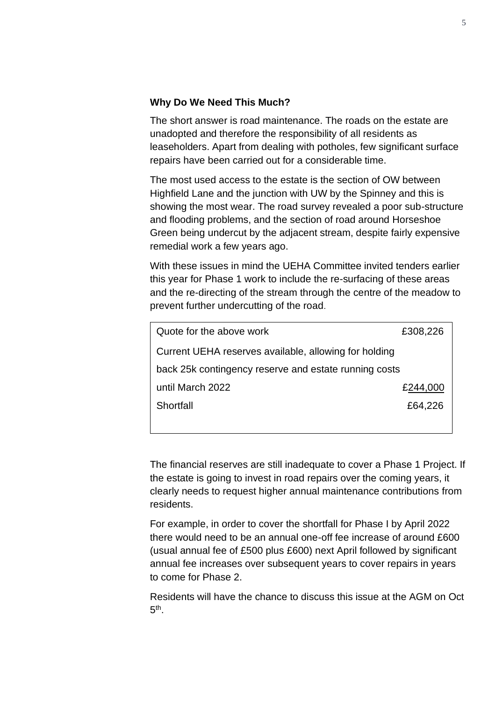#### **Why Do We Need This Much?**

The short answer is road maintenance. The roads on the estate are unadopted and therefore the responsibility of all residents as leaseholders. Apart from dealing with potholes, few significant surface repairs have been carried out for a considerable time.

The most used access to the estate is the section of OW between Highfield Lane and the junction with UW by the Spinney and this is showing the most wear. The road survey revealed a poor sub-structure and flooding problems, and the section of road around Horseshoe Green being undercut by the adjacent stream, despite fairly expensive remedial work a few years ago.

With these issues in mind the UEHA Committee invited tenders earlier this year for Phase 1 work to include the re-surfacing of these areas and the re-directing of the stream through the centre of the meadow to prevent further undercutting of the road.

| Quote for the above work                              | £308,226 |  |
|-------------------------------------------------------|----------|--|
| Current UEHA reserves available, allowing for holding |          |  |
| back 25k contingency reserve and estate running costs |          |  |
| until March 2022                                      | £244,000 |  |
| Shortfall                                             | £64,226  |  |
|                                                       |          |  |

The financial reserves are still inadequate to cover a Phase 1 Project. If the estate is going to invest in road repairs over the coming years, it clearly needs to request higher annual maintenance contributions from residents.

For example, in order to cover the shortfall for Phase I by April 2022 there would need to be an annual one-off fee increase of around £600 (usual annual fee of £500 plus £600) next April followed by significant annual fee increases over subsequent years to cover repairs in years to come for Phase 2.

Residents will have the chance to discuss this issue at the AGM on Oct  $5<sup>th</sup>$ .